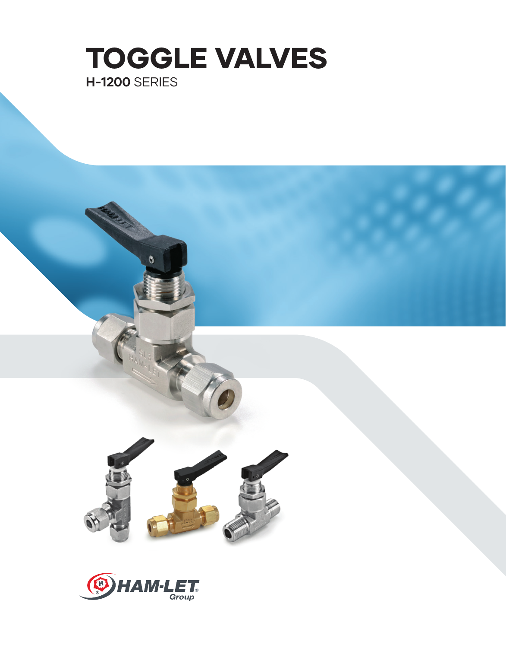

**CONNECTORS**





O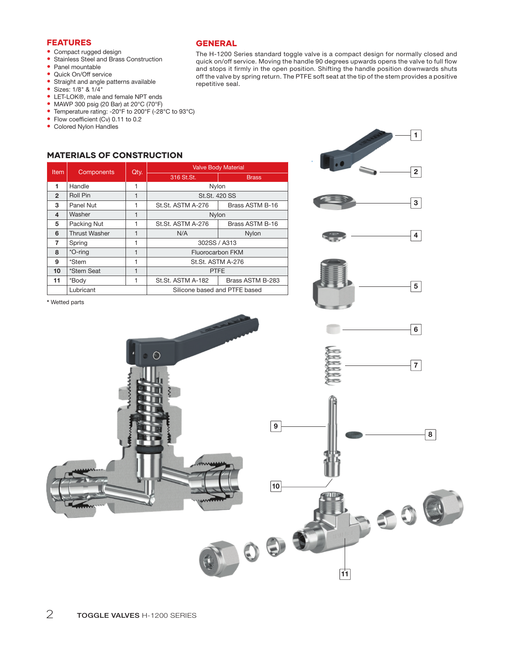- **•** Compact rugged design
- **•** Stainless Steel and Brass Construction
- **•** Panel mountable
- **•** Quick On/Off service
- **•** Straight and angle patterns available
- **•** Sizes: 1/8" & 1/4"
- **•** LET-LOK®, male and female NPT ends
- **•** MAWP 300 psig (20 Bar) at 20°C (70°F)
- **•** Temperature rating: -20°F to 200°F (-28°C to 93°C)
- Flow coefficient (Cv) 0.11 to 0.2
- **•** Colored Nylon Handles

# FEATURES GENERAL

The H-1200 Series standard toggle valve is a compact design for normally closed and quick on/off service. Moving the handle 90 degrees upwards opens the valve to full flow and stops it firmly in the open position. Shifting the handle position downwards shuts off the valve by spring return. The PTFE soft seat at the tip of the stem provides a positive repetitive seal.

..

1

2

# MATERIALS OF CONSTRUCTION

| <b>Item</b>    | Components           | Qty.           | <b>Valve Body Material</b>    |                  |  |  |  |  |
|----------------|----------------------|----------------|-------------------------------|------------------|--|--|--|--|
|                |                      |                | 316 St.St.                    | <b>Brass</b>     |  |  |  |  |
| 1              | Handle               | 1              | Nylon                         |                  |  |  |  |  |
| $\overline{2}$ | Roll Pin             | 1              | St.St. 420 SS                 |                  |  |  |  |  |
| 3              | Panel Nut            | 1              | St.St. ASTM A-276             | Brass ASTM B-16  |  |  |  |  |
| 4              | Washer               | 1              | Nylon                         |                  |  |  |  |  |
| 5              | Packing Nut          |                | St.St. ASTM A-276             | Brass ASTM B-16  |  |  |  |  |
| 6              | <b>Thrust Washer</b> | 1              | N/A                           | Nylon            |  |  |  |  |
| 7              | Spring               | 1              | 302SS / A313                  |                  |  |  |  |  |
| 8              | *O-ring              | $\overline{1}$ | <b>Fluorocarbon FKM</b>       |                  |  |  |  |  |
| 9              | *Stem                | 1              | St.St. ASTM A-276             |                  |  |  |  |  |
| 10             | *Stem Seat           | 1              | <b>PTFE</b>                   |                  |  |  |  |  |
| 11             | *Body                | 1              | St.St. ASTM A-182             | Brass ASTM B-283 |  |  |  |  |
| Lubricant      |                      |                | Silicone based and PTFE based |                  |  |  |  |  |

\* Wetted parts

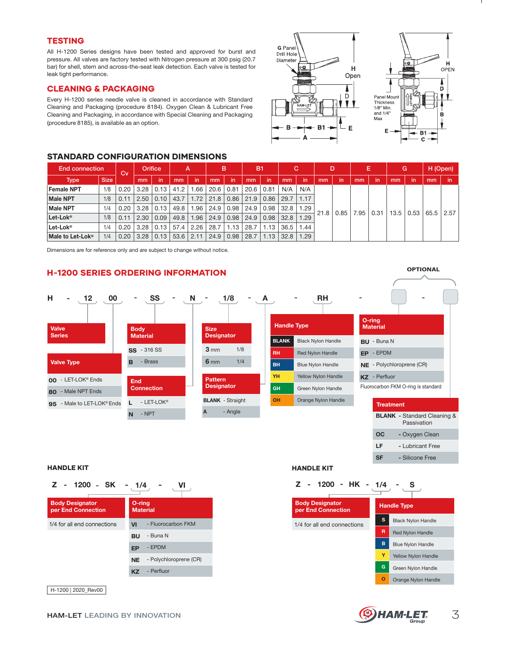## **TESTING**

All H-1200 Series designs have been tested and approved for burst and pressure. All valves are factory tested with Nitrogen pressure at 300 psig (20.7 bar) for shell, stem and across-the-seat leak detection. Each valve is tested for leak tight performance.

### CLEANING & PACKAGING

Every H-1200 series needle valve is cleaned in accordance with Standard Cleaning and Packaging (procedure 8184). Oxygen Clean & Lubricant Free Cleaning and Packaging, in accordance with Special Cleaning and Packaging (procedure 8185), is available as an option.





| <b>End connection</b> |             | Cv   | <b>Orifice</b> |      | А    |      | в    |      | B1   |      |      |      | D    |      | E   |      | G    |      | H (Open) |      |
|-----------------------|-------------|------|----------------|------|------|------|------|------|------|------|------|------|------|------|-----|------|------|------|----------|------|
| <b>Type</b>           | <b>Size</b> |      | mm             | in   | mm   | in   | mm   | in   | mm   | in   | mm   | in   | mm   | in   | mm  | in   | mm   | in   | mm       | in   |
| Female NPT            | 1/8         | 0.20 | 3.28           | 0.13 | 41.2 | .66  | 20.6 | 0.81 | 20.6 | 0.81 | N/A  | N/A  |      |      |     |      |      |      |          | 2.57 |
| Male NPT              | 1/8         | 0.11 | 2.50           | 0.10 | 43.7 | .72  | 21.8 | 0.86 | 21.9 | 0.86 | 29.7 | 1.17 |      |      |     |      |      |      |          |      |
| Male NPT              | 1/4         | 0.20 | 3.28           | 0.13 | 49.8 | .96  | 24.9 | 0.98 | 24.9 | 0.98 | 32.8 | 1.29 | 21.8 |      | .95 | 0.31 |      |      |          |      |
| Let-Lok®              | 1/8         | 0.11 | 2.30           | 0.09 | 49.8 | .96  | 24.9 | 0.98 | 24.9 | 0.98 | 32.8 | 1.29 |      | 0.85 |     |      | 13.5 | 0.53 | 65.5     |      |
| Let-Lok®              | 1/4         | 0.20 | 3.28           | 0.13 | 57.4 | 2.26 | 28.7 | .13  | 28.7 | 1.13 | 36.5 | 1.44 |      |      |     |      |      |      |          |      |
| Male to Let-Lok®      | 1/4         | 0.20 | 3.28           | 0.13 | 53.6 | 2.11 | 24.9 | 0.98 | 28.7 | 1.13 | 32.8 | .29  |      |      |     |      |      |      |          |      |

Dimensions are for reference only and are subject to change without notice.

### H-1200 SERIES ORDERING INFORMATION



| Z - 1200 - SK                                | $-1/4$<br>VI                        | Z - 1200 - HK - 1/4                          |
|----------------------------------------------|-------------------------------------|----------------------------------------------|
| <b>Body Designator</b><br>per End Connection | O-ring<br><b>Material</b>           | <b>Body Designator</b><br>per End Connection |
| 1/4 for all end connections                  | - Fluorocarbon FKM<br>VI            | 1/4 for all end connections                  |
|                                              | - Buna N<br><b>BU</b>               |                                              |
|                                              | - EPDM<br><b>EP</b>                 |                                              |
|                                              | - Polychloroprene (CR)<br><b>NE</b> |                                              |
|                                              | - Perfluor<br><b>KZ</b>             |                                              |
|                                              |                                     |                                              |

H-1200 | 2020\_Rev00

#### HANDLE KIT **HANDLE KIT**



**LF -** Lubricant Free **SF -** Silicone Free

| <b>Handle Type</b> |                            |  |  |  |  |  |
|--------------------|----------------------------|--|--|--|--|--|
| s                  | <b>Black Nylon Handle</b>  |  |  |  |  |  |
| R                  | <b>Red Nylon Handle</b>    |  |  |  |  |  |
| B                  | <b>Blue Nylon Handle</b>   |  |  |  |  |  |
| Y                  | <b>Yellow Nylon Handle</b> |  |  |  |  |  |
| G                  | Green Nylon Handle         |  |  |  |  |  |
|                    | Orange Nylon Handle        |  |  |  |  |  |

**OPTIONAL**